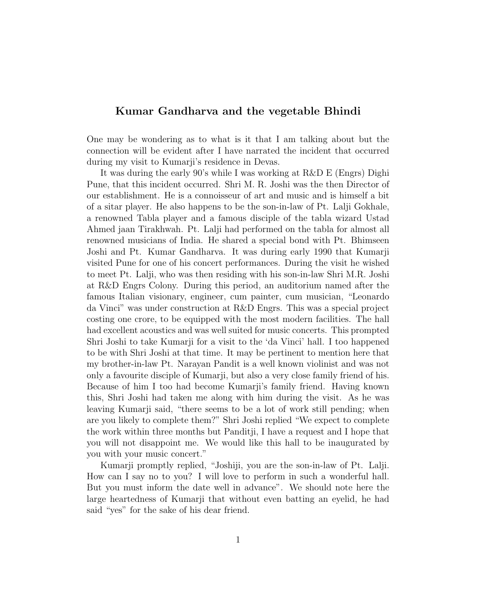## Kumar Gandharva and the vegetable Bhindi

One may be wondering as to what is it that I am talking about but the connection will be evident after I have narrated the incident that occurred during my visit to Kumarji's residence in Devas.

It was during the early 90's while I was working at R&D E (Engrs) Dighi Pune, that this incident occurred. Shri M. R. Joshi was the then Director of our establishment. He is a connoisseur of art and music and is himself a bit of a sitar player. He also happens to be the son-in-law of Pt. Lalji Gokhale, a renowned Tabla player and a famous disciple of the tabla wizard Ustad Ahmed jaan Tirakhwah. Pt. Lalji had performed on the tabla for almost all renowned musicians of India. He shared a special bond with Pt. Bhimseen Joshi and Pt. Kumar Gandharva. It was during early 1990 that Kumarji visited Pune for one of his concert performances. During the visit he wished to meet Pt. Lalji, who was then residing with his son-in-law Shri M.R. Joshi at R&D Engrs Colony. During this period, an auditorium named after the famous Italian visionary, engineer, cum painter, cum musician, "Leonardo da Vinci" was under construction at R&D Engrs. This was a special project costing one crore, to be equipped with the most modern facilities. The hall had excellent acoustics and was well suited for music concerts. This prompted Shri Joshi to take Kumarji for a visit to the 'da Vinci' hall. I too happened to be with Shri Joshi at that time. It may be pertinent to mention here that my brother-in-law Pt. Narayan Pandit is a well known violinist and was not only a favourite disciple of Kumarji, but also a very close family friend of his. Because of him I too had become Kumarji's family friend. Having known this, Shri Joshi had taken me along with him during the visit. As he was leaving Kumarji said, "there seems to be a lot of work still pending; when are you likely to complete them?" Shri Joshi replied "We expect to complete the work within three months but Panditji, I have a request and I hope that you will not disappoint me. We would like this hall to be inaugurated by you with your music concert."

Kumarji promptly replied, "Joshiji, you are the son-in-law of Pt. Lalji. How can I say no to you? I will love to perform in such a wonderful hall. But you must inform the date well in advance". We should note here the large heartedness of Kumarji that without even batting an eyelid, he had said "yes" for the sake of his dear friend.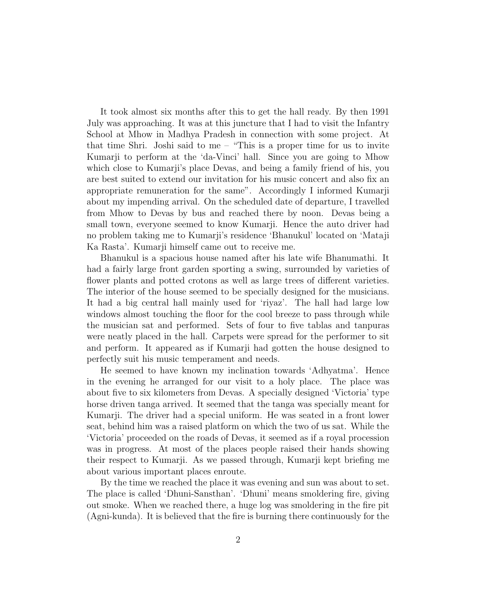It took almost six months after this to get the hall ready. By then 1991 July was approaching. It was at this juncture that I had to visit the Infantry School at Mhow in Madhya Pradesh in connection with some project. At that time Shri. Joshi said to me – "This is a proper time for us to invite Kumarji to perform at the 'da-Vinci' hall. Since you are going to Mhow which close to Kumarji's place Devas, and being a family friend of his, you are best suited to extend our invitation for his music concert and also fix an appropriate remuneration for the same". Accordingly I informed Kumarji about my impending arrival. On the scheduled date of departure, I travelled from Mhow to Devas by bus and reached there by noon. Devas being a small town, everyone seemed to know Kumarji. Hence the auto driver had no problem taking me to Kumarji's residence 'Bhanukul' located on 'Mataji Ka Rasta'. Kumarji himself came out to receive me.

Bhanukul is a spacious house named after his late wife Bhanumathi. It had a fairly large front garden sporting a swing, surrounded by varieties of flower plants and potted crotons as well as large trees of different varieties. The interior of the house seemed to be specially designed for the musicians. It had a big central hall mainly used for 'riyaz'. The hall had large low windows almost touching the floor for the cool breeze to pass through while the musician sat and performed. Sets of four to five tablas and tanpuras were neatly placed in the hall. Carpets were spread for the performer to sit and perform. It appeared as if Kumarji had gotten the house designed to perfectly suit his music temperament and needs.

He seemed to have known my inclination towards 'Adhyatma'. Hence in the evening he arranged for our visit to a holy place. The place was about five to six kilometers from Devas. A specially designed 'Victoria' type horse driven tanga arrived. It seemed that the tanga was specially meant for Kumarji. The driver had a special uniform. He was seated in a front lower seat, behind him was a raised platform on which the two of us sat. While the 'Victoria' proceeded on the roads of Devas, it seemed as if a royal procession was in progress. At most of the places people raised their hands showing their respect to Kumarji. As we passed through, Kumarji kept briefing me about various important places enroute.

By the time we reached the place it was evening and sun was about to set. The place is called 'Dhuni-Sansthan'. 'Dhuni' means smoldering fire, giving out smoke. When we reached there, a huge log was smoldering in the fire pit (Agni-kunda). It is believed that the fire is burning there continuously for the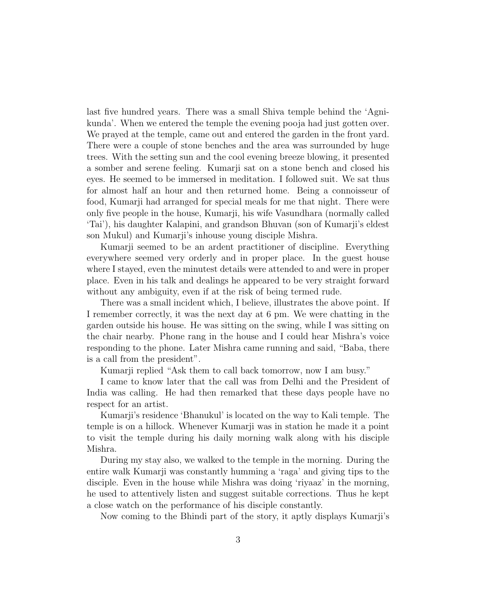last five hundred years. There was a small Shiva temple behind the 'Agnikunda'. When we entered the temple the evening pooja had just gotten over. We prayed at the temple, came out and entered the garden in the front yard. There were a couple of stone benches and the area was surrounded by huge trees. With the setting sun and the cool evening breeze blowing, it presented a somber and serene feeling. Kumarji sat on a stone bench and closed his eyes. He seemed to be immersed in meditation. I followed suit. We sat thus for almost half an hour and then returned home. Being a connoisseur of food, Kumarji had arranged for special meals for me that night. There were only five people in the house, Kumarji, his wife Vasundhara (normally called 'Tai'), his daughter Kalapini, and grandson Bhuvan (son of Kumarji's eldest son Mukul) and Kumarji's inhouse young disciple Mishra.

Kumarji seemed to be an ardent practitioner of discipline. Everything everywhere seemed very orderly and in proper place. In the guest house where I stayed, even the minutest details were attended to and were in proper place. Even in his talk and dealings he appeared to be very straight forward without any ambiguity, even if at the risk of being termed rude.

There was a small incident which, I believe, illustrates the above point. If I remember correctly, it was the next day at 6 pm. We were chatting in the garden outside his house. He was sitting on the swing, while I was sitting on the chair nearby. Phone rang in the house and I could hear Mishra's voice responding to the phone. Later Mishra came running and said, "Baba, there is a call from the president".

Kumarji replied "Ask them to call back tomorrow, now I am busy."

I came to know later that the call was from Delhi and the President of India was calling. He had then remarked that these days people have no respect for an artist.

Kumarji's residence 'Bhanukul' is located on the way to Kali temple. The temple is on a hillock. Whenever Kumarji was in station he made it a point to visit the temple during his daily morning walk along with his disciple Mishra.

During my stay also, we walked to the temple in the morning. During the entire walk Kumarji was constantly humming a 'raga' and giving tips to the disciple. Even in the house while Mishra was doing 'riyaaz' in the morning, he used to attentively listen and suggest suitable corrections. Thus he kept a close watch on the performance of his disciple constantly.

Now coming to the Bhindi part of the story, it aptly displays Kumarji's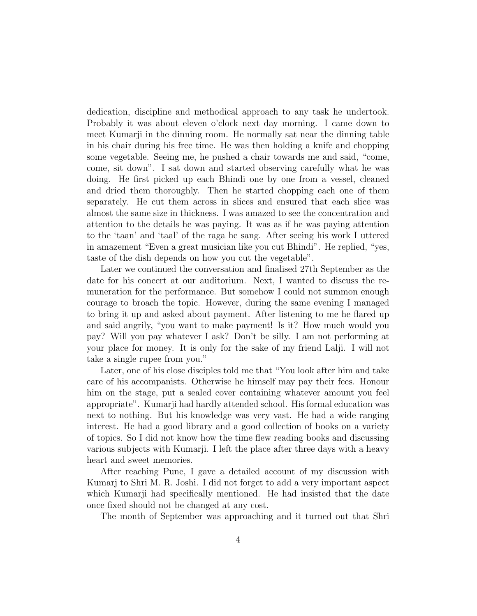dedication, discipline and methodical approach to any task he undertook. Probably it was about eleven o'clock next day morning. I came down to meet Kumarji in the dinning room. He normally sat near the dinning table in his chair during his free time. He was then holding a knife and chopping some vegetable. Seeing me, he pushed a chair towards me and said, "come, come, sit down". I sat down and started observing carefully what he was doing. He first picked up each Bhindi one by one from a vessel, cleaned and dried them thoroughly. Then he started chopping each one of them separately. He cut them across in slices and ensured that each slice was almost the same size in thickness. I was amazed to see the concentration and attention to the details he was paying. It was as if he was paying attention to the 'taan' and 'taal' of the raga he sang. After seeing his work I uttered in amazement "Even a great musician like you cut Bhindi". He replied, "yes, taste of the dish depends on how you cut the vegetable".

Later we continued the conversation and finalised 27th September as the date for his concert at our auditorium. Next, I wanted to discuss the remuneration for the performance. But somehow I could not summon enough courage to broach the topic. However, during the same evening I managed to bring it up and asked about payment. After listening to me he flared up and said angrily, "you want to make payment! Is it? How much would you pay? Will you pay whatever I ask? Don't be silly. I am not performing at your place for money. It is only for the sake of my friend Lalji. I will not take a single rupee from you."

Later, one of his close disciples told me that "You look after him and take care of his accompanists. Otherwise he himself may pay their fees. Honour him on the stage, put a sealed cover containing whatever amount you feel appropriate". Kumarji had hardly attended school. His formal education was next to nothing. But his knowledge was very vast. He had a wide ranging interest. He had a good library and a good collection of books on a variety of topics. So I did not know how the time flew reading books and discussing various subjects with Kumarji. I left the place after three days with a heavy heart and sweet memories.

After reaching Pune, I gave a detailed account of my discussion with Kumarj to Shri M. R. Joshi. I did not forget to add a very important aspect which Kumarji had specifically mentioned. He had insisted that the date once fixed should not be changed at any cost.

The month of September was approaching and it turned out that Shri